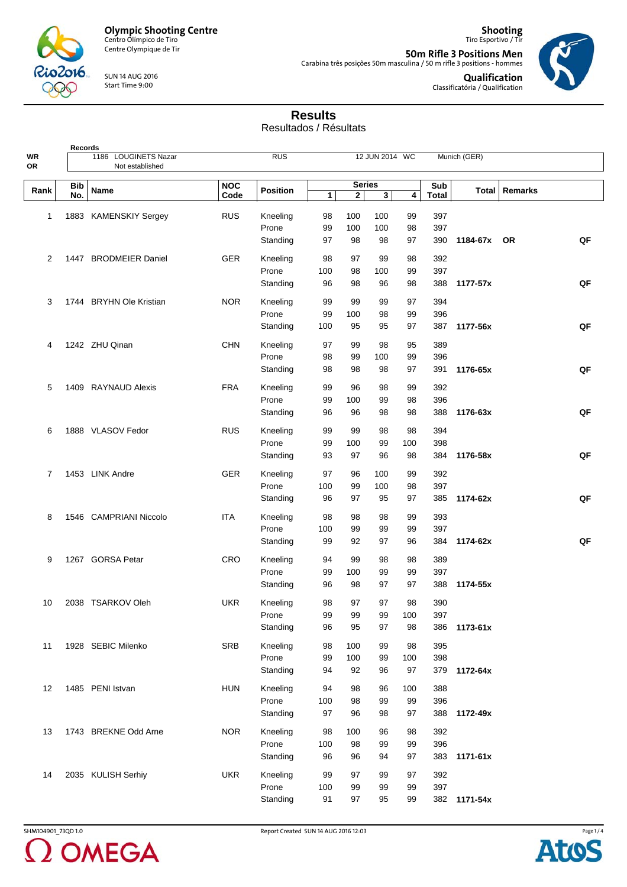

**Records**

Centre Olympique de Tir

SUN 14 AUG 2016 Start Time 9:00

**50m Rifle 3 Positions Men** Carabina três posições 50m masculina / 50 m rifle 3 positions - hommes



 $\overline{\phantom{a}}$ ٦

**Qualification** Classificatória / Qualification

**Shooting** Tiro Esportivo / Tir

## **Results**

Resultados / Résultats

| WR<br>OR       |            | 1186 LOUGINETS Nazar<br>Not established |            | <b>RUS</b>      |              | 12 JUN 2014 WC |                         |     | Munich (GER) |              |                 |    |
|----------------|------------|-----------------------------------------|------------|-----------------|--------------|----------------|-------------------------|-----|--------------|--------------|-----------------|----|
|                |            |                                         |            |                 |              |                |                         |     |              |              |                 |    |
| Rank           | <b>Bib</b> | Name                                    | <b>NOC</b> | <b>Position</b> |              | <b>Series</b>  |                         |     | Sub          |              | Total   Remarks |    |
|                | No.        |                                         | Code       |                 | $\mathbf{1}$ | $\mathbf{2}$   | $\overline{\mathbf{3}}$ | 4   | Total        |              |                 |    |
| 1              |            | 1883 KAMENSKIY Sergey                   | <b>RUS</b> | Kneeling        | 98           | 100            | 100                     | 99  | 397          |              |                 |    |
|                |            |                                         |            | Prone           | 99           | 100            | 100                     | 98  | 397          |              |                 |    |
|                |            |                                         |            | Standing        | 97           | 98             | 98                      | 97  | 390          | 1184-67x OR  |                 | QF |
|                |            |                                         |            |                 |              |                |                         |     |              |              |                 |    |
| 2              |            | 1447 BRODMEIER Daniel                   | <b>GER</b> | Kneeling        | 98           | 97             | 99                      | 98  | 392          |              |                 |    |
|                |            |                                         |            | Prone           | 100          | 98             | 100                     | 99  | 397          |              |                 |    |
|                |            |                                         |            | Standing        | 96           | 98             | 96                      | 98  | 388          | 1177-57x     |                 | QF |
| 3              |            | 1744 BRYHN Ole Kristian                 | <b>NOR</b> | Kneeling        | 99           | 99             | 99                      | 97  | 394          |              |                 |    |
|                |            |                                         |            | Prone           | 99           | 100            | 98                      | 99  | 396          |              |                 |    |
|                |            |                                         |            | Standing        | 100          | 95             | 95                      | 97  | 387          | 1177-56x     |                 | QF |
| 4              |            | 1242 ZHU Qinan                          | <b>CHN</b> | Kneeling        | 97           | 99             | 98                      | 95  | 389          |              |                 |    |
|                |            |                                         |            | Prone           | 98           | 99             | 100                     | 99  | 396          |              |                 |    |
|                |            |                                         |            | Standing        | 98           | 98             | 98                      | 97  | 391          | 1176-65x     |                 | QF |
|                |            |                                         |            |                 |              |                |                         |     |              |              |                 |    |
| 5              |            | 1409 RAYNAUD Alexis                     | <b>FRA</b> | Kneeling        | 99           | 96             | 98                      | 99  | 392          |              |                 |    |
|                |            |                                         |            | Prone           | 99           | 100            | 99                      | 98  | 396          |              |                 |    |
|                |            |                                         |            | Standing        | 96           | 96             | 98                      | 98  | 388          | 1176-63x     |                 | QF |
| 6              |            | 1888 VLASOV Fedor                       | <b>RUS</b> | Kneeling        | 99           | 99             | 98                      | 98  | 394          |              |                 |    |
|                |            |                                         |            | Prone           | 99           | 100            | 99                      | 100 | 398          |              |                 |    |
|                |            |                                         |            | Standing        | 93           | 97             | 96                      | 98  | 384          | 1176-58x     |                 | QF |
| $\overline{7}$ |            | 1453 LINK Andre                         | <b>GER</b> | Kneeling        | 97           | 96             | 100                     | 99  | 392          |              |                 |    |
|                |            |                                         |            | Prone           | 100          | 99             | 100                     | 98  | 397          |              |                 |    |
|                |            |                                         |            | Standing        | 96           | 97             | 95                      | 97  | 385          | 1174-62x     |                 | QF |
|                |            |                                         |            |                 |              |                |                         |     |              |              |                 |    |
| 8              |            | 1546 CAMPRIANI Niccolo                  | <b>ITA</b> | Kneeling        | 98           | 98             | 98                      | 99  | 393          |              |                 |    |
|                |            |                                         |            | Prone           | 100          | 99             | 99                      | 99  | 397          |              |                 |    |
|                |            |                                         |            | Standing        | 99           | 92             | 97                      | 96  | 384          | 1174-62x     |                 | QF |
| 9              |            | 1267 GORSA Petar                        | CRO        | Kneeling        | 94           | 99             | 98                      | 98  | 389          |              |                 |    |
|                |            |                                         |            | Prone           | 99           | 100            | 99                      | 99  | 397          |              |                 |    |
|                |            |                                         |            | Standing        | 96           | 98             | 97                      | 97  | 388          | 1174-55x     |                 |    |
| 10             |            | 2038 TSARKOV Oleh                       | <b>UKR</b> | Kneeling        | 98           | 97             | 97                      | 98  | 390          |              |                 |    |
|                |            |                                         |            | Prone           | 99           | 99             | 99                      | 100 | 397          |              |                 |    |
|                |            |                                         |            | Standing        | 96           | 95             | 97                      | 98  | 386          | 1173-61x     |                 |    |
|                |            |                                         |            |                 |              |                |                         |     |              |              |                 |    |
| 11             |            | 1928 SEBIC Milenko                      | <b>SRB</b> | Kneeling        | 98           | 100            | 99                      | 98  | 395          |              |                 |    |
|                |            |                                         |            | Prone           | 99           | 100            | 99                      | 100 | 398          |              |                 |    |
|                |            |                                         |            | Standing        | 94           | 92             | 96                      | 97  | 379          | 1172-64x     |                 |    |
| 12             |            | 1485 PENI Istvan                        | <b>HUN</b> | Kneeling        | 94           | 98             | 96                      | 100 | 388          |              |                 |    |
|                |            |                                         |            | Prone           | 100          | 98             | 99                      | 99  | 396          |              |                 |    |
|                |            |                                         |            | Standing        | 97           | 96             | 98                      | 97  | 388          | 1172-49x     |                 |    |
| 13             |            | 1743 BREKNE Odd Arne                    | <b>NOR</b> | Kneeling        | 98           | 100            | 96                      | 98  | 392          |              |                 |    |
|                |            |                                         |            | Prone           | 100          | 98             | 99                      | 99  | 396          |              |                 |    |
|                |            |                                         |            | Standing        | 96           | 96             | 94                      | 97  | 383          | 1171-61x     |                 |    |
|                |            |                                         |            |                 |              |                |                         |     |              |              |                 |    |
| 14             |            | 2035 KULISH Serhiy                      | <b>UKR</b> | Kneeling        | 99           | 97             | 99                      | 97  | 392          |              |                 |    |
|                |            |                                         |            | Prone           | 100          | 99             | 99                      | 99  | 397          |              |                 |    |
|                |            |                                         |            | Standing        | 91           | 97             | 95                      | 99  |              | 382 1171-54x |                 |    |

2 OMEGA

SHM104901\_73QD 1.0 Report Created SUN 14 AUG 2016 12:03

Page  $1/4$ **Atos**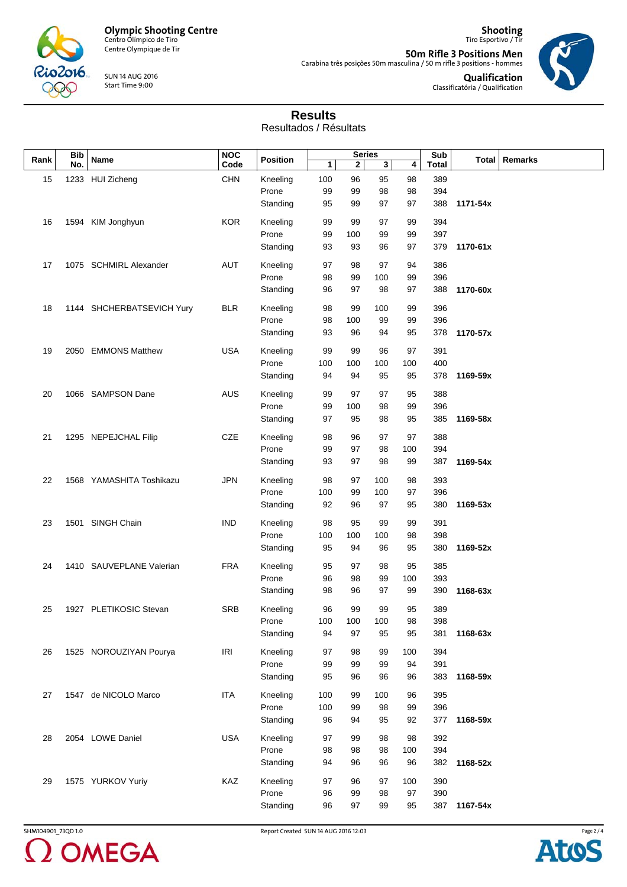

Centre Olympique de Tir

SUN 14 AUG 2016 Start Time 9:00

**50m Rifle 3 Positions Men** Carabina três posições 50m masculina / 50 m rifle 3 positions - hommes



**Qualification** Classificatória / Qualification

**Shooting** Tiro Esportivo / Tir

## **Results**

Resultados / Résultats

| Rank | <b>Bib</b><br>No. | Name                      | <b>NOC</b> | <b>Position</b> | <b>Series</b> |             |     | Sub |              | Total   Remarks |  |
|------|-------------------|---------------------------|------------|-----------------|---------------|-------------|-----|-----|--------------|-----------------|--|
|      |                   |                           | Code       |                 | 1             | $\mathbf 2$ | 3   | 4   | <b>Total</b> |                 |  |
| 15   |                   | 1233 HUI Zicheng          | <b>CHN</b> | Kneeling        | 100           | 96          | 95  | 98  | 389          |                 |  |
|      |                   |                           |            | Prone           | 99            | 99          | 98  | 98  | 394          |                 |  |
|      |                   |                           |            | Standing        | 95            | 99          | 97  | 97  | 388          | 1171-54x        |  |
|      |                   |                           |            |                 |               |             |     |     |              |                 |  |
| 16   |                   | 1594 KIM Jonghyun         | <b>KOR</b> | Kneeling        | 99            | 99          | 97  | 99  | 394          |                 |  |
|      |                   |                           |            | Prone           | 99            | 100         | 99  | 99  | 397          |                 |  |
|      |                   |                           |            | Standing        | 93            | 93          | 96  | 97  | 379          | 1170-61x        |  |
|      |                   |                           |            |                 |               |             |     |     |              |                 |  |
| 17   |                   | 1075 SCHMIRL Alexander    | AUT        | Kneeling        | 97            | 98          | 97  | 94  | 386          |                 |  |
|      |                   |                           |            | Prone           | 98            | 99          | 100 | 99  | 396          |                 |  |
|      |                   |                           |            | Standing        | 96            | 97          | 98  | 97  | 388          | 1170-60x        |  |
| 18   |                   | 1144 SHCHERBATSEVICH Yury | <b>BLR</b> | Kneeling        | 98            | 99          | 100 | 99  | 396          |                 |  |
|      |                   |                           |            | Prone           | 98            | 100         | 99  | 99  | 396          |                 |  |
|      |                   |                           |            | Standing        | 93            | 96          | 94  | 95  | 378          | 1170-57x        |  |
|      |                   |                           |            |                 |               |             |     |     |              |                 |  |
| 19   |                   | 2050 EMMONS Matthew       | <b>USA</b> | Kneeling        | 99            | 99          | 96  | 97  | 391          |                 |  |
|      |                   |                           |            | Prone           | 100           | 100         | 100 | 100 | 400          |                 |  |
|      |                   |                           |            | Standing        | 94            | 94          | 95  | 95  | 378          | 1169-59x        |  |
|      |                   |                           |            |                 |               |             |     |     |              |                 |  |
| 20   |                   | 1066 SAMPSON Dane         | AUS        | Kneeling        | 99            | 97          | 97  | 95  | 388          |                 |  |
|      |                   |                           |            | Prone           | 99            | 100         | 98  | 99  | 396          |                 |  |
|      |                   |                           |            | Standing        | 97            | 95          | 98  | 95  | 385          | 1169-58x        |  |
| 21   |                   | 1295 NEPEJCHAL Filip      | CZE        | Kneeling        | 98            | 96          | 97  | 97  | 388          |                 |  |
|      |                   |                           |            | Prone           | 99            | 97          | 98  | 100 | 394          |                 |  |
|      |                   |                           |            | Standing        | 93            | 97          | 98  | 99  | 387          | 1169-54x        |  |
|      |                   |                           |            |                 |               |             |     |     |              |                 |  |
| 22   |                   | 1568 YAMASHITA Toshikazu  | JPN        | Kneeling        | 98            | 97          | 100 | 98  | 393          |                 |  |
|      |                   |                           |            | Prone           | 100           | 99          | 100 | 97  | 396          |                 |  |
|      |                   |                           |            | Standing        | 92            | 96          | 97  | 95  | 380          | 1169-53x        |  |
| 23   |                   | 1501 SINGH Chain          | <b>IND</b> | Kneeling        | 98            | 95          | 99  | 99  | 391          |                 |  |
|      |                   |                           |            | Prone           | 100           | 100         | 100 | 98  | 398          |                 |  |
|      |                   |                           |            | Standing        | 95            | 94          | 96  | 95  | 380          | 1169-52x        |  |
|      |                   |                           |            |                 |               |             |     |     |              |                 |  |
| 24   |                   | 1410 SAUVEPLANE Valerian  | <b>FRA</b> | Kneeling        | 95            | 97          | 98  | 95  | 385          |                 |  |
|      |                   |                           |            | Prone           | 96            | 98          | 99  | 100 | 393          |                 |  |
|      |                   |                           |            | Standing        | 98            | 96          | 97  | 99  | 390          | 1168-63x        |  |
|      |                   |                           |            |                 |               |             |     |     |              |                 |  |
| 25   |                   | 1927 PLETIKOSIC Stevan    | <b>SRB</b> | Kneeling        | 96            | 99          | 99  | 95  | 389          |                 |  |
|      |                   |                           |            | Prone           | 100           | 100         | 100 | 98  | 398          |                 |  |
|      |                   |                           |            | Standing        | 94            | 97          | 95  | 95  | 381          | 1168-63x        |  |
| 26   |                   | 1525 NOROUZIYAN Pourya    | <b>IRI</b> | Kneeling        | 97            | 98          | 99  | 100 | 394          |                 |  |
|      |                   |                           |            | Prone           | 99            | 99          | 99  | 94  | 391          |                 |  |
|      |                   |                           |            | Standing        | 95            | 96          | 96  | 96  | 383          | 1168-59x        |  |
|      |                   |                           |            |                 |               |             |     |     |              |                 |  |
| 27   |                   | 1547 de NICOLO Marco      | <b>ITA</b> | Kneeling        | 100           | 99          | 100 | 96  | 395          |                 |  |
|      |                   |                           |            | Prone           | 100           | 99          | 98  | 99  | 396          |                 |  |
|      |                   |                           |            | Standing        | 96            | 94          | 95  | 92  | 377          | 1168-59x        |  |
| 28   |                   | 2054 LOWE Daniel          | <b>USA</b> | Kneeling        | 97            | 99          | 98  | 98  | 392          |                 |  |
|      |                   |                           |            | Prone           | 98            | 98          | 98  | 100 | 394          |                 |  |
|      |                   |                           |            |                 | 94            | 96          | 96  | 96  | 382          | 1168-52x        |  |
|      |                   |                           |            | Standing        |               |             |     |     |              |                 |  |
| 29   |                   | 1575 YURKOV Yuriy         | KAZ        | Kneeling        | 97            | 96          | 97  | 100 | 390          |                 |  |
|      |                   |                           |            | Prone           | 96            | 99          | 98  | 97  | 390          |                 |  |
|      |                   |                           |            | Standing        | 96            | 97          | 99  | 95  | 387          | 1167-54x        |  |
|      |                   |                           |            |                 |               |             |     |     |              |                 |  |



SHM104901\_73QD 1.0 Report Created SUN 14 AUG 2016 12:03

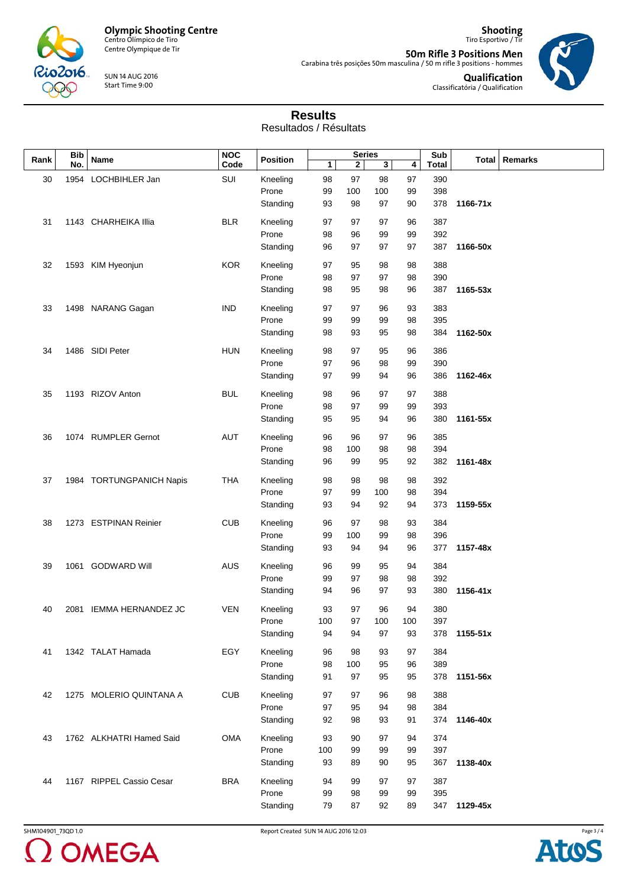

Centre Olympique de Tir

SUN 14 AUG 2016 Start Time 9:00

**Shooting** Tiro Esportivo / Tir **50m Rifle 3 Positions Men** Carabina três posições 50m masculina / 50 m rifle 3 positions - hommes



**Qualification** Classificatória / Qualification

## **Results**

Resultados / Résultats

| Rank | <b>Bib</b> | Name                     | <b>NOC</b><br>Code | <b>Position</b> | <b>Series</b> |     |     | Sub |       | Total   Remarks |  |
|------|------------|--------------------------|--------------------|-----------------|---------------|-----|-----|-----|-------|-----------------|--|
|      | No.        |                          |                    |                 | 1             | 2   | 3   | 4   | Total |                 |  |
| 30   | 1954       | LOCHBIHLER Jan           | SUI                | Kneeling        | 98            | 97  | 98  | 97  | 390   |                 |  |
|      |            |                          |                    | Prone           | 99            | 100 | 100 | 99  | 398   |                 |  |
|      |            |                          |                    | Standing        | 93            | 98  | 97  | 90  | 378   | 1166-71x        |  |
|      |            |                          |                    |                 |               |     |     |     |       |                 |  |
| 31   |            | 1143 CHARHEIKA Illia     | <b>BLR</b>         | Kneeling        | 97            | 97  | 97  | 96  | 387   |                 |  |
|      |            |                          |                    | Prone           | 98            | 96  | 99  | 99  | 392   |                 |  |
|      |            |                          |                    | Standing        | 96            | 97  | 97  | 97  | 387   | 1166-50x        |  |
|      |            |                          |                    |                 |               |     |     |     |       |                 |  |
| 32   |            | 1593 KIM Hyeonjun        | <b>KOR</b>         | Kneeling        | 97            | 95  | 98  | 98  | 388   |                 |  |
|      |            |                          |                    | Prone           | 98            | 97  | 97  | 98  | 390   |                 |  |
|      |            |                          |                    | Standing        | 98            | 95  | 98  | 96  | 387   | 1165-53x        |  |
|      |            |                          |                    |                 |               |     |     |     |       |                 |  |
| 33   |            | 1498 NARANG Gagan        | <b>IND</b>         | Kneeling        | 97            | 97  | 96  | 93  | 383   |                 |  |
|      |            |                          |                    | Prone           | 99            | 99  | 99  | 98  | 395   |                 |  |
|      |            |                          |                    | Standing        | 98            | 93  | 95  | 98  | 384   | 1162-50x        |  |
| 34   |            | 1486 SIDI Peter          | <b>HUN</b>         | Kneeling        | 98            | 97  | 95  | 96  | 386   |                 |  |
|      |            |                          |                    |                 |               |     |     |     |       |                 |  |
|      |            |                          |                    | Prone           | 97            | 96  | 98  | 99  | 390   |                 |  |
|      |            |                          |                    | Standing        | 97            | 99  | 94  | 96  | 386   | 1162-46x        |  |
| 35   |            | 1193 RIZOV Anton         | <b>BUL</b>         | Kneeling        | 98            | 96  | 97  | 97  | 388   |                 |  |
|      |            |                          |                    | Prone           | 98            | 97  | 99  | 99  | 393   |                 |  |
|      |            |                          |                    |                 |               |     |     |     |       |                 |  |
|      |            |                          |                    | Standing        | 95            | 95  | 94  | 96  | 380   | 1161-55x        |  |
| 36   |            | 1074 RUMPLER Gernot      | <b>AUT</b>         | Kneeling        | 96            | 96  | 97  | 96  | 385   |                 |  |
|      |            |                          |                    | Prone           | 98            | 100 | 98  | 98  | 394   |                 |  |
|      |            |                          |                    | Standing        | 96            | 99  | 95  | 92  | 382   | 1161-48x        |  |
|      |            |                          |                    |                 |               |     |     |     |       |                 |  |
| 37   |            | 1984 TORTUNGPANICH Napis | <b>THA</b>         | Kneeling        | 98            | 98  | 98  | 98  | 392   |                 |  |
|      |            |                          |                    | Prone           | 97            | 99  | 100 | 98  | 394   |                 |  |
|      |            |                          |                    | Standing        | 93            | 94  | 92  | 94  | 373   | 1159-55x        |  |
|      |            |                          |                    |                 |               |     |     |     |       |                 |  |
| 38   |            | 1273 ESTPINAN Reinier    | <b>CUB</b>         | Kneeling        | 96            | 97  | 98  | 93  | 384   |                 |  |
|      |            |                          |                    | Prone           | 99            | 100 | 99  | 98  | 396   |                 |  |
|      |            |                          |                    | Standing        | 93            | 94  | 94  | 96  | 377   | 1157-48x        |  |
|      |            |                          |                    |                 |               |     |     |     |       |                 |  |
| 39   |            | 1061 GODWARD Will        | <b>AUS</b>         | Kneeling        | 96            | 99  | 95  | 94  | 384   |                 |  |
|      |            |                          |                    | Prone           | 99            | 97  | 98  | 98  | 392   |                 |  |
|      |            |                          |                    | Standing        | 94            | 96  | 97  | 93  | 380   | 1156-41x        |  |
| 40   |            | 2081 IEMMA HERNANDEZ JC  | <b>VEN</b>         | Kneeling        | 93            | 97  | 96  | 94  | 380   |                 |  |
|      |            |                          |                    | Prone           | 100           | 97  | 100 | 100 | 397   |                 |  |
|      |            |                          |                    |                 |               |     |     |     |       |                 |  |
|      |            |                          |                    | Standing        | 94            | 94  | 97  | 93  |       | 378 1155-51x    |  |
| 41   |            | 1342 TALAT Hamada        | EGY                | Kneeling        | 96            | 98  | 93  | 97  | 384   |                 |  |
|      |            |                          |                    | Prone           | 98            | 100 | 95  | 96  | 389   |                 |  |
|      |            |                          |                    | Standing        | 91            | 97  | 95  | 95  | 378   | 1151-56x        |  |
|      |            |                          |                    |                 |               |     |     |     |       |                 |  |
| 42   |            | 1275 MOLERIO QUINTANA A  | <b>CUB</b>         | Kneeling        | 97            | 97  | 96  | 98  | 388   |                 |  |
|      |            |                          |                    | Prone           | 97            | 95  | 94  | 98  | 384   |                 |  |
|      |            |                          |                    | Standing        | 92            | 98  | 93  | 91  | 374   | 1146-40x        |  |
|      |            |                          |                    |                 |               |     |     |     |       |                 |  |
| 43   |            | 1762 ALKHATRI Hamed Said | OMA                | Kneeling        | 93            | 90  | 97  | 94  | 374   |                 |  |
|      |            |                          |                    | Prone           | 100           | 99  | 99  | 99  | 397   |                 |  |
|      |            |                          |                    | Standing        | 93            | 89  | 90  | 95  | 367   | 1138-40x        |  |
|      |            |                          |                    |                 |               |     |     |     |       |                 |  |
| 44   |            | 1167 RIPPEL Cassio Cesar | <b>BRA</b>         | Kneeling        | 94            | 99  | 97  | 97  | 387   |                 |  |
|      |            |                          |                    | Prone           | 99            | 98  | 99  | 99  | 395   |                 |  |
|      |            |                          |                    | Standing        | 79            | 87  | 92  | 89  |       | 347 1129-45x    |  |
|      |            |                          |                    |                 |               |     |     |     |       |                 |  |